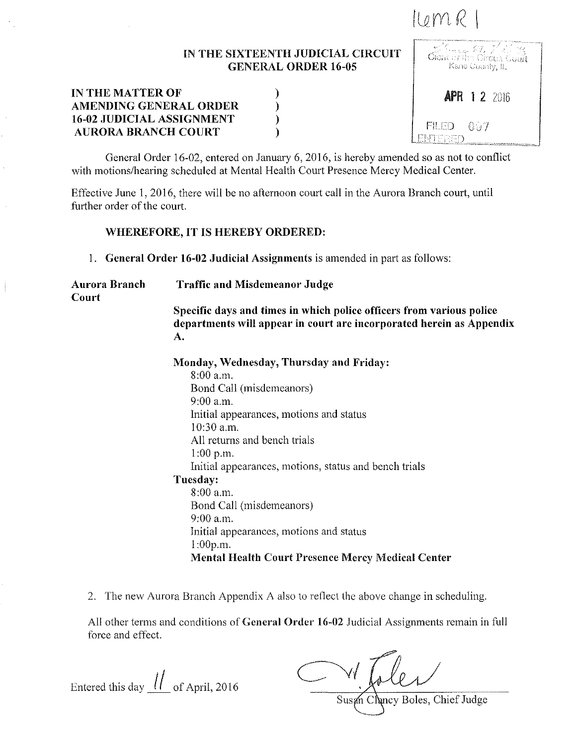## $I(\mathfrak{o} m\mathcal{R})$

## IN THE SIXTEENTH JUDICIAL CIRCUIT GENERAL ORDER 16-05 /,

) ) ) )

| IN THE MATTER OF                 |  |
|----------------------------------|--|
| AMENDING GENERAL ORDER           |  |
| <b>16-02 JUDICIAL ASSIGNMENT</b> |  |
| <b>AURORA BRANCH COURT</b>       |  |

**APR 1 2 2016** 657 FII ED

General Order 16-02, entered on January 6, 2016, is hereby amended so as not to conflict with motions/hearing scheduled at Mental Health Court Presence Mercy Medical Center.

Effective June I, 2016, there will be no afternoon court call in the Aurora Branch court, until further order of the court.

## WHEREFORE, IT IS HEREBY ORDERED:

1. General Order 16-02 Judicial Assignments is amended in part as follows:

Aurora Branch Court

Traffic and Misdemeanor Judge

Specific days and times in which police officers from various police departments will appear in court are incorporated herein as Appendix

A.

Monday, Wednesday, Thursday and Friday:

8:00 a.m. Bond Call (misdemeanors) 9:00 a.m. Initial appearances, motions and status 10:30 a.m. All returns and bench trials 1:00 p.m. Initial appearances, motions, status and bench trials Tuesday: 8:00 a.m. Bond Call (misdemeanors) 9:00 a.m. Initial appearances, motions and status l:OOp.m. Mental Health Court Presence Mercy Medical Center

2. The new Aurora Branch Appendix A also lo reflect the above change in scheduling.

All other terms and conditions of General Order 16-02 Judicial Assignments remain in full force and effect.

Entered this day  $\left| l \right|$  of April, 2016

Susan Chancy Boles, Chief Judge